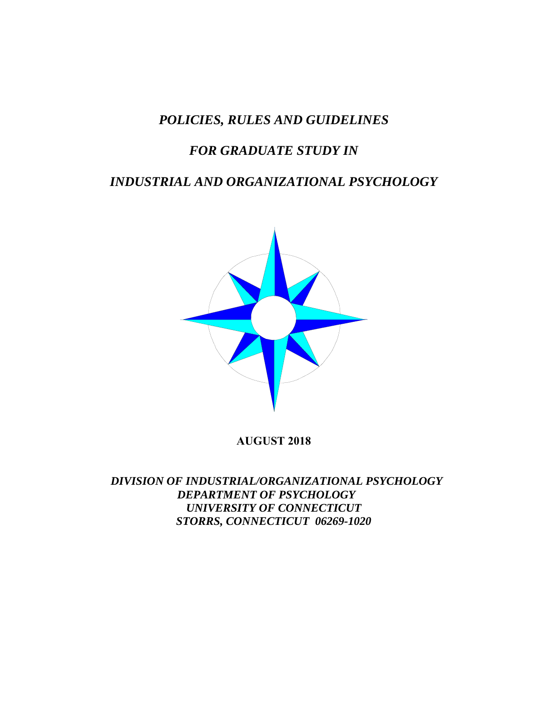# *POLICIES, RULES AND GUIDELINES*

# *FOR GRADUATE STUDY IN*

# *INDUSTRIAL AND ORGANIZATIONAL PSYCHOLOGY*



**AUGUST 2018** 

 *DIVISION OF INDUSTRIAL/ORGANIZATIONAL PSYCHOLOGY DEPARTMENT OF PSYCHOLOGY UNIVERSITY OF CONNECTICUT STORRS, CONNECTICUT 06269-1020*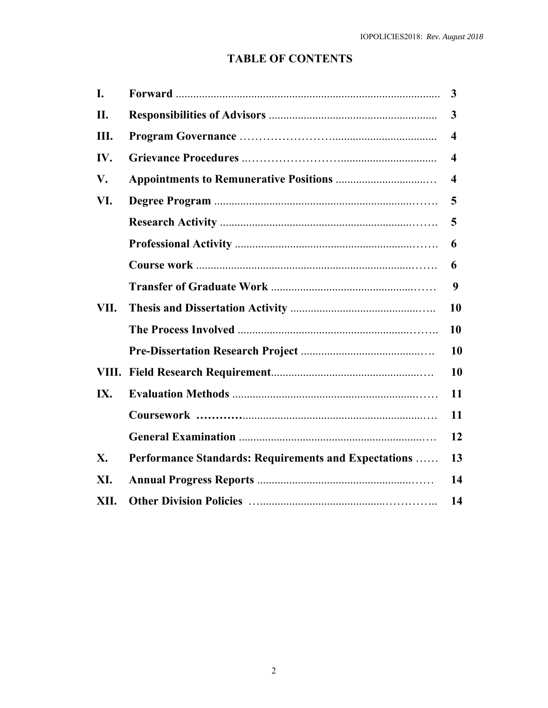# **TABLE OF CONTENTS**

| I.   |                                                      | 3                       |
|------|------------------------------------------------------|-------------------------|
| II.  |                                                      | 3                       |
| Ш.   |                                                      | $\overline{\mathbf{4}}$ |
| IV.  |                                                      | 4                       |
| V.   |                                                      | 4                       |
| VI.  |                                                      | 5                       |
|      |                                                      | 5                       |
|      |                                                      | 6                       |
|      |                                                      | 6                       |
|      |                                                      | 9                       |
| VII. |                                                      | 10                      |
|      |                                                      | 10                      |
|      |                                                      | 10                      |
|      |                                                      | 10                      |
| IX.  |                                                      | 11                      |
|      |                                                      | 11                      |
|      |                                                      | 12                      |
| X.   | Performance Standards: Requirements and Expectations | 13                      |
| XI.  |                                                      | 14                      |
| XII. |                                                      | 14                      |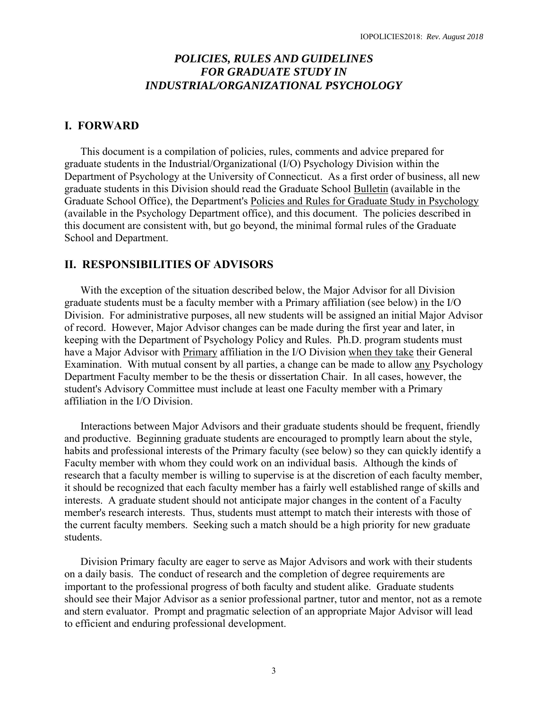# *POLICIES, RULES AND GUIDELINES FOR GRADUATE STUDY IN INDUSTRIAL/ORGANIZATIONAL PSYCHOLOGY*

### **I. FORWARD**

 This document is a compilation of policies, rules, comments and advice prepared for graduate students in the Industrial/Organizational (I/O) Psychology Division within the Department of Psychology at the University of Connecticut. As a first order of business, all new graduate students in this Division should read the Graduate School Bulletin (available in the Graduate School Office), the Department's Policies and Rules for Graduate Study in Psychology (available in the Psychology Department office), and this document. The policies described in this document are consistent with, but go beyond, the minimal formal rules of the Graduate School and Department.

## **II. RESPONSIBILITIES OF ADVISORS**

With the exception of the situation described below, the Major Advisor for all Division graduate students must be a faculty member with a Primary affiliation (see below) in the I/O Division. For administrative purposes, all new students will be assigned an initial Major Advisor of record. However, Major Advisor changes can be made during the first year and later, in keeping with the Department of Psychology Policy and Rules. Ph.D. program students must have a Major Advisor with Primary affiliation in the I/O Division when they take their General Examination. With mutual consent by all parties, a change can be made to allow any Psychology Department Faculty member to be the thesis or dissertation Chair. In all cases, however, the student's Advisory Committee must include at least one Faculty member with a Primary affiliation in the I/O Division.

 Interactions between Major Advisors and their graduate students should be frequent, friendly and productive. Beginning graduate students are encouraged to promptly learn about the style, habits and professional interests of the Primary faculty (see below) so they can quickly identify a Faculty member with whom they could work on an individual basis. Although the kinds of research that a faculty member is willing to supervise is at the discretion of each faculty member, it should be recognized that each faculty member has a fairly well established range of skills and interests. A graduate student should not anticipate major changes in the content of a Faculty member's research interests. Thus, students must attempt to match their interests with those of the current faculty members. Seeking such a match should be a high priority for new graduate students.

 Division Primary faculty are eager to serve as Major Advisors and work with their students on a daily basis. The conduct of research and the completion of degree requirements are important to the professional progress of both faculty and student alike. Graduate students should see their Major Advisor as a senior professional partner, tutor and mentor, not as a remote and stern evaluator. Prompt and pragmatic selection of an appropriate Major Advisor will lead to efficient and enduring professional development.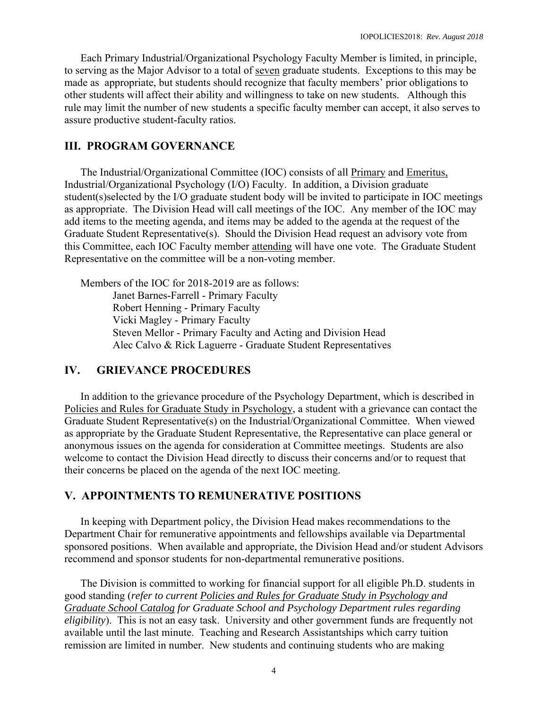Each Primary Industrial/Organizational Psychology Faculty Member is limited, in principle, to serving as the Major Advisor to a total of seven graduate students. Exceptions to this may be made as appropriate, but students should recognize that faculty members' prior obligations to other students will affect their ability and willingness to take on new students. Although this rule may limit the number of new students a specific faculty member can accept, it also serves to assure productive student-faculty ratios.

# **III. PROGRAM GOVERNANCE**

 The Industrial/Organizational Committee (IOC) consists of all Primary and Emeritus, Industrial/Organizational Psychology (I/O) Faculty. In addition, a Division graduate student(s)selected by the I/O graduate student body will be invited to participate in IOC meetings as appropriate. The Division Head will call meetings of the IOC. Any member of the IOC may add items to the meeting agenda, and items may be added to the agenda at the request of the Graduate Student Representative(s). Should the Division Head request an advisory vote from this Committee, each IOC Faculty member attending will have one vote. The Graduate Student Representative on the committee will be a non-voting member.

Members of the IOC for 2018-2019 are as follows: Janet Barnes-Farrell - Primary Faculty Robert Henning - Primary Faculty Vicki Magley - Primary Faculty Steven Mellor - Primary Faculty and Acting and Division Head Alec Calvo & Rick Laguerre - Graduate Student Representatives

## **IV. GRIEVANCE PROCEDURES**

In addition to the grievance procedure of the Psychology Department, which is described in Policies and Rules for Graduate Study in Psychology, a student with a grievance can contact the Graduate Student Representative(s) on the Industrial/Organizational Committee. When viewed as appropriate by the Graduate Student Representative, the Representative can place general or anonymous issues on the agenda for consideration at Committee meetings. Students are also welcome to contact the Division Head directly to discuss their concerns and/or to request that their concerns be placed on the agenda of the next IOC meeting.

#### **V. APPOINTMENTS TO REMUNERATIVE POSITIONS**

In keeping with Department policy, the Division Head makes recommendations to the Department Chair for remunerative appointments and fellowships available via Departmental sponsored positions. When available and appropriate, the Division Head and/or student Advisors recommend and sponsor students for non-departmental remunerative positions.

The Division is committed to working for financial support for all eligible Ph.D. students in good standing (*refer to current Policies and Rules for Graduate Study in Psychology and Graduate School Catalog for Graduate School and Psychology Department rules regarding eligibility*). This is not an easy task. University and other government funds are frequently not available until the last minute. Teaching and Research Assistantships which carry tuition remission are limited in number. New students and continuing students who are making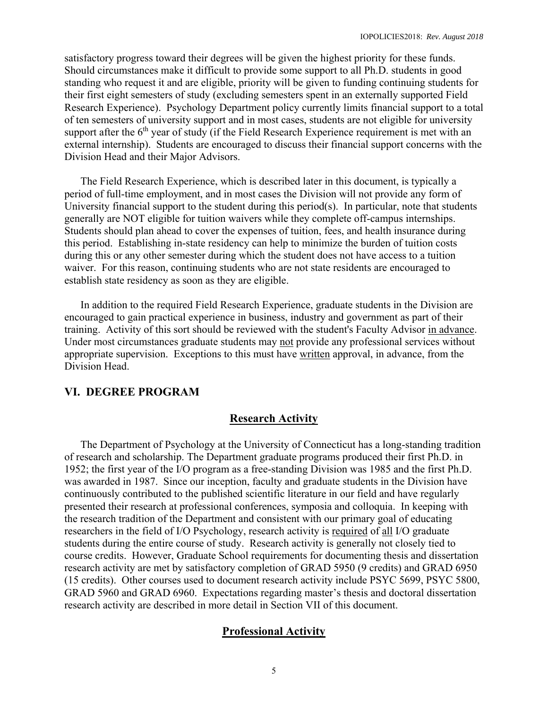satisfactory progress toward their degrees will be given the highest priority for these funds. Should circumstances make it difficult to provide some support to all Ph.D. students in good standing who request it and are eligible, priority will be given to funding continuing students for their first eight semesters of study (excluding semesters spent in an externally supported Field Research Experience). Psychology Department policy currently limits financial support to a total of ten semesters of university support and in most cases, students are not eligible for university support after the  $6<sup>th</sup>$  year of study (if the Field Research Experience requirement is met with an external internship). Students are encouraged to discuss their financial support concerns with the Division Head and their Major Advisors.

 The Field Research Experience, which is described later in this document, is typically a period of full-time employment, and in most cases the Division will not provide any form of University financial support to the student during this period(s). In particular, note that students generally are NOT eligible for tuition waivers while they complete off-campus internships. Students should plan ahead to cover the expenses of tuition, fees, and health insurance during this period. Establishing in-state residency can help to minimize the burden of tuition costs during this or any other semester during which the student does not have access to a tuition waiver. For this reason, continuing students who are not state residents are encouraged to establish state residency as soon as they are eligible.

 In addition to the required Field Research Experience, graduate students in the Division are encouraged to gain practical experience in business, industry and government as part of their training. Activity of this sort should be reviewed with the student's Faculty Advisor in advance. Under most circumstances graduate students may not provide any professional services without appropriate supervision. Exceptions to this must have written approval, in advance, from the Division Head.

#### **VI. DEGREE PROGRAM**

#### **Research Activity**

The Department of Psychology at the University of Connecticut has a long-standing tradition of research and scholarship. The Department graduate programs produced their first Ph.D. in 1952; the first year of the I/O program as a free-standing Division was 1985 and the first Ph.D. was awarded in 1987. Since our inception, faculty and graduate students in the Division have continuously contributed to the published scientific literature in our field and have regularly presented their research at professional conferences, symposia and colloquia. In keeping with the research tradition of the Department and consistent with our primary goal of educating researchers in the field of I/O Psychology, research activity is required of all I/O graduate students during the entire course of study. Research activity is generally not closely tied to course credits. However, Graduate School requirements for documenting thesis and dissertation research activity are met by satisfactory completion of GRAD 5950 (9 credits) and GRAD 6950 (15 credits). Other courses used to document research activity include PSYC 5699, PSYC 5800, GRAD 5960 and GRAD 6960. Expectations regarding master's thesis and doctoral dissertation research activity are described in more detail in Section VII of this document.

#### **Professional Activity**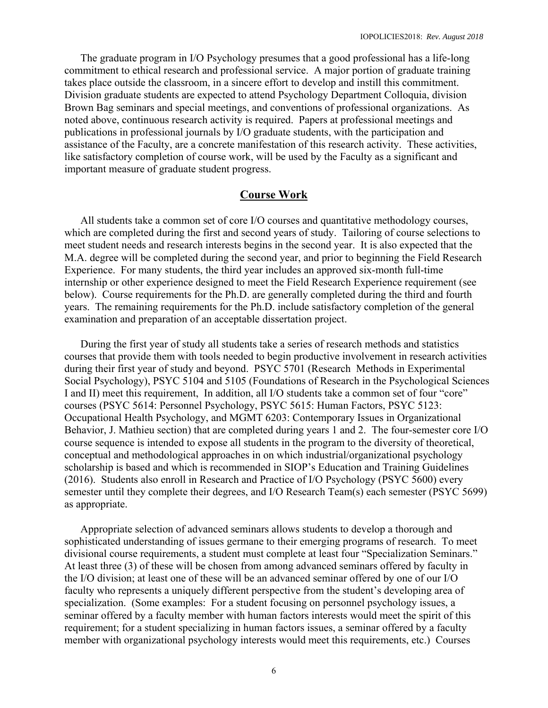The graduate program in I/O Psychology presumes that a good professional has a life-long commitment to ethical research and professional service. A major portion of graduate training takes place outside the classroom, in a sincere effort to develop and instill this commitment. Division graduate students are expected to attend Psychology Department Colloquia, division Brown Bag seminars and special meetings, and conventions of professional organizations. As noted above, continuous research activity is required. Papers at professional meetings and publications in professional journals by I/O graduate students, with the participation and assistance of the Faculty, are a concrete manifestation of this research activity. These activities, like satisfactory completion of course work, will be used by the Faculty as a significant and important measure of graduate student progress.

#### **Course Work**

All students take a common set of core I/O courses and quantitative methodology courses, which are completed during the first and second years of study. Tailoring of course selections to meet student needs and research interests begins in the second year. It is also expected that the M.A. degree will be completed during the second year, and prior to beginning the Field Research Experience. For many students, the third year includes an approved six-month full-time internship or other experience designed to meet the Field Research Experience requirement (see below). Course requirements for the Ph.D. are generally completed during the third and fourth years. The remaining requirements for the Ph.D. include satisfactory completion of the general examination and preparation of an acceptable dissertation project.

 During the first year of study all students take a series of research methods and statistics courses that provide them with tools needed to begin productive involvement in research activities during their first year of study and beyond. PSYC 5701 (Research Methods in Experimental Social Psychology), PSYC 5104 and 5105 (Foundations of Research in the Psychological Sciences I and II) meet this requirement, In addition, all I/O students take a common set of four "core" courses (PSYC 5614: Personnel Psychology, PSYC 5615: Human Factors, PSYC 5123: Occupational Health Psychology, and MGMT 6203: Contemporary Issues in Organizational Behavior, J. Mathieu section) that are completed during years 1 and 2. The four-semester core I/O course sequence is intended to expose all students in the program to the diversity of theoretical, conceptual and methodological approaches in on which industrial/organizational psychology scholarship is based and which is recommended in SIOP's Education and Training Guidelines (2016). Students also enroll in Research and Practice of I/O Psychology (PSYC 5600) every semester until they complete their degrees, and I/O Research Team(s) each semester (PSYC 5699) as appropriate.

 Appropriate selection of advanced seminars allows students to develop a thorough and sophisticated understanding of issues germane to their emerging programs of research. To meet divisional course requirements, a student must complete at least four "Specialization Seminars." At least three (3) of these will be chosen from among advanced seminars offered by faculty in the I/O division; at least one of these will be an advanced seminar offered by one of our I/O faculty who represents a uniquely different perspective from the student's developing area of specialization. (Some examples: For a student focusing on personnel psychology issues, a seminar offered by a faculty member with human factors interests would meet the spirit of this requirement; for a student specializing in human factors issues, a seminar offered by a faculty member with organizational psychology interests would meet this requirements, etc.) Courses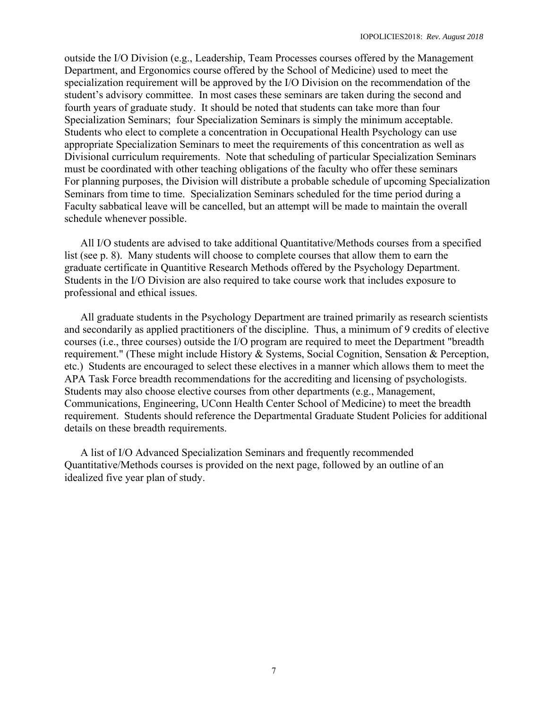outside the I/O Division (e.g., Leadership, Team Processes courses offered by the Management Department, and Ergonomics course offered by the School of Medicine) used to meet the specialization requirement will be approved by the I/O Division on the recommendation of the student's advisory committee. In most cases these seminars are taken during the second and fourth years of graduate study. It should be noted that students can take more than four Specialization Seminars; four Specialization Seminars is simply the minimum acceptable. Students who elect to complete a concentration in Occupational Health Psychology can use appropriate Specialization Seminars to meet the requirements of this concentration as well as Divisional curriculum requirements. Note that scheduling of particular Specialization Seminars must be coordinated with other teaching obligations of the faculty who offer these seminars For planning purposes, the Division will distribute a probable schedule of upcoming Specialization Seminars from time to time. Specialization Seminars scheduled for the time period during a Faculty sabbatical leave will be cancelled, but an attempt will be made to maintain the overall schedule whenever possible.

 All I/O students are advised to take additional Quantitative/Methods courses from a specified list (see p. 8). Many students will choose to complete courses that allow them to earn the graduate certificate in Quantitive Research Methods offered by the Psychology Department. Students in the I/O Division are also required to take course work that includes exposure to professional and ethical issues.

 All graduate students in the Psychology Department are trained primarily as research scientists and secondarily as applied practitioners of the discipline. Thus, a minimum of 9 credits of elective courses (i.e., three courses) outside the I/O program are required to meet the Department "breadth requirement." (These might include History & Systems, Social Cognition, Sensation & Perception, etc.) Students are encouraged to select these electives in a manner which allows them to meet the APA Task Force breadth recommendations for the accrediting and licensing of psychologists. Students may also choose elective courses from other departments (e.g., Management, Communications, Engineering, UConn Health Center School of Medicine) to meet the breadth requirement. Students should reference the Departmental Graduate Student Policies for additional details on these breadth requirements.

 A list of I/O Advanced Specialization Seminars and frequently recommended Quantitative/Methods courses is provided on the next page, followed by an outline of an idealized five year plan of study.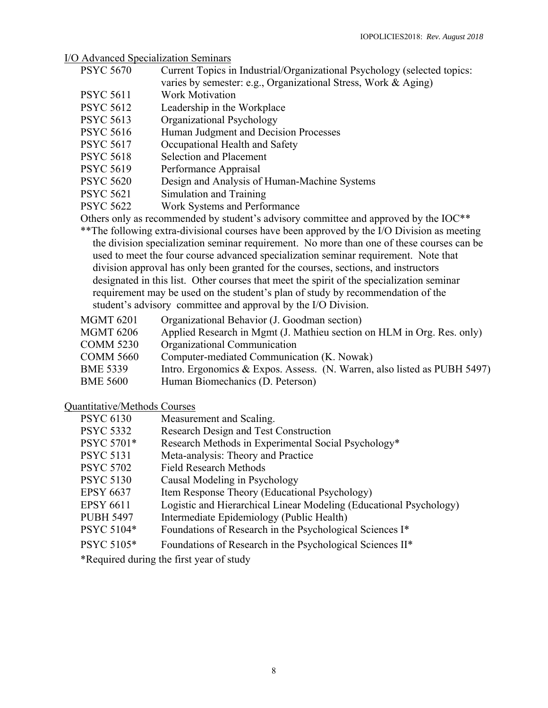<u>I/O Advanced Specialization Seminars</u><br>PSYC 5670 Current Topics in

- Current Topics in Industrial/Organizational Psychology (selected topics:
	- varies by semester: e.g., Organizational Stress, Work & Aging)
- PSYC 5611 Work Motivation
- PSYC 5612 Leadership in the Workplace
- PSYC 5613 Organizational Psychology
- PSYC 5616 Human Judgment and Decision Processes
- PSYC 5617 Occupational Health and Safety
- PSYC 5618 Selection and Placement
- PSYC 5619 Performance Appraisal
- PSYC 5620 Design and Analysis of Human-Machine Systems
- PSYC 5621 Simulation and Training
- PSYC 5622 Work Systems and Performance

Others only as recommended by student's advisory committee and approved by the IOC\*\*

- \*\*The following extra-divisional courses have been approved by the I/O Division as meeting the division specialization seminar requirement. No more than one of these courses can be used to meet the four course advanced specialization seminar requirement. Note that division approval has only been granted for the courses, sections, and instructors designated in this list. Other courses that meet the spirit of the specialization seminar requirement may be used on the student's plan of study by recommendation of the student's advisory committee and approval by the I/O Division.
- MGMT 6201 Organizational Behavior (J. Goodman section)
- MGMT 6206 Applied Research in Mgmt (J. Mathieu section on HLM in Org. Res. only)
- COMM 5230 Organizational Communication
- COMM 5660 Computer-mediated Communication (K. Nowak)
- BME 5339 Intro. Ergonomics & Expos. Assess. (N. Warren, also listed as PUBH 5497)
- BME 5600 Human Biomechanics (D. Peterson)

#### Quantitative/Methods Courses

| Measurement and Scaling.                                           |
|--------------------------------------------------------------------|
| Research Design and Test Construction                              |
| Research Methods in Experimental Social Psychology*                |
| Meta-analysis: Theory and Practice                                 |
| <b>Field Research Methods</b>                                      |
| Causal Modeling in Psychology                                      |
| Item Response Theory (Educational Psychology)                      |
| Logistic and Hierarchical Linear Modeling (Educational Psychology) |
| Intermediate Epidemiology (Public Health)                          |
| Foundations of Research in the Psychological Sciences I*           |
| Foundations of Research in the Psychological Sciences II*          |
|                                                                    |

\*Required during the first year of study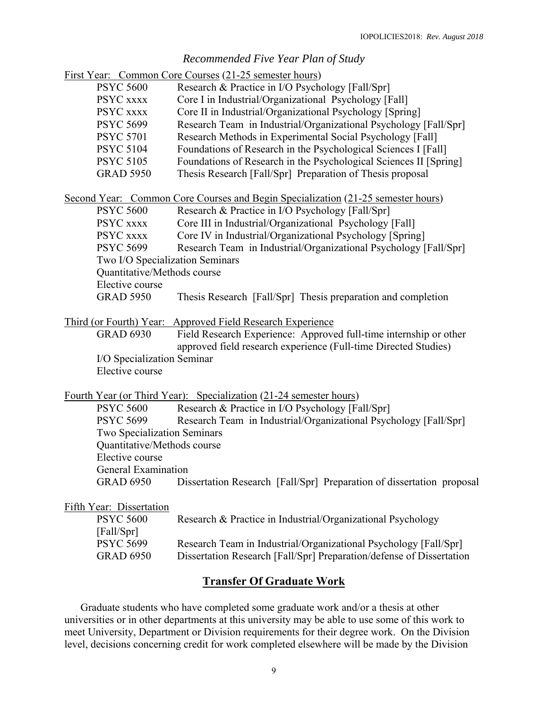## *Recommended Five Year Plan of Study*

|                                                                                  | First Year: Common Core Courses (21-25 semester hours)                                                                               |  |  |  |
|----------------------------------------------------------------------------------|--------------------------------------------------------------------------------------------------------------------------------------|--|--|--|
| <b>PSYC 5600</b>                                                                 | Research & Practice in I/O Psychology [Fall/Spr]                                                                                     |  |  |  |
| PSYC XXXX                                                                        | Core I in Industrial/Organizational Psychology [Fall]                                                                                |  |  |  |
| PSYC xxxx                                                                        | Core II in Industrial/Organizational Psychology [Spring]                                                                             |  |  |  |
| <b>PSYC 5699</b>                                                                 | Research Team in Industrial/Organizational Psychology [Fall/Spr]                                                                     |  |  |  |
| <b>PSYC 5701</b>                                                                 | Research Methods in Experimental Social Psychology [Fall]                                                                            |  |  |  |
| <b>PSYC 5104</b>                                                                 | Foundations of Research in the Psychological Sciences I [Fall]                                                                       |  |  |  |
| <b>PSYC 5105</b>                                                                 | Foundations of Research in the Psychological Sciences II [Spring]                                                                    |  |  |  |
| <b>GRAD 5950</b>                                                                 | Thesis Research [Fall/Spr] Preparation of Thesis proposal                                                                            |  |  |  |
| Second Year: Common Core Courses and Begin Specialization (21-25 semester hours) |                                                                                                                                      |  |  |  |
| <b>PSYC 5600</b>                                                                 | Research & Practice in I/O Psychology [Fall/Spr]                                                                                     |  |  |  |
| PSYC XXXX                                                                        | Core III in Industrial/Organizational Psychology [Fall]                                                                              |  |  |  |
| PSYC xxxx                                                                        | Core IV in Industrial/Organizational Psychology [Spring]                                                                             |  |  |  |
| <b>PSYC 5699</b>                                                                 | Research Team in Industrial/Organizational Psychology [Fall/Spr]                                                                     |  |  |  |
| Two I/O Specialization Seminars                                                  |                                                                                                                                      |  |  |  |
| Quantitative/Methods course                                                      |                                                                                                                                      |  |  |  |
| Elective course                                                                  |                                                                                                                                      |  |  |  |
| <b>GRAD 5950</b>                                                                 | Thesis Research [Fall/Spr] Thesis preparation and completion                                                                         |  |  |  |
| Third (or Fourth) Year: Approved Field Research Experience                       |                                                                                                                                      |  |  |  |
| <b>GRAD 6930</b>                                                                 | Field Research Experience: Approved full-time internship or other<br>approved field research experience (Full-time Directed Studies) |  |  |  |
| I/O Specialization Seminar                                                       |                                                                                                                                      |  |  |  |
| Elective course                                                                  |                                                                                                                                      |  |  |  |
| <u>Fourth Year (or Third Year): Specialization (21-24 semester hours)</u>        |                                                                                                                                      |  |  |  |
| <b>PSYC 5600</b>                                                                 | Research & Practice in I/O Psychology [Fall/Spr]                                                                                     |  |  |  |
| <b>PSYC 5699</b>                                                                 | Research Team in Industrial/Organizational Psychology [Fall/Spr]                                                                     |  |  |  |
| Two Specialization Seminars                                                      |                                                                                                                                      |  |  |  |
| Quantitative/Methods course                                                      |                                                                                                                                      |  |  |  |
| Elective course                                                                  |                                                                                                                                      |  |  |  |
| <b>General Examination</b>                                                       |                                                                                                                                      |  |  |  |
| <b>GRAD 6950</b>                                                                 | Dissertation Research [Fall/Spr] Preparation of dissertation proposal                                                                |  |  |  |
| Fifth Year: Dissertation                                                         |                                                                                                                                      |  |  |  |
| <b>PSYC 5600</b>                                                                 | Research & Practice in Industrial/Organizational Psychology                                                                          |  |  |  |
| [Fall/Spr]                                                                       |                                                                                                                                      |  |  |  |
| <b>PSYC 5699</b>                                                                 | Research Team in Industrial/Organizational Psychology [Fall/Spr]                                                                     |  |  |  |
| <b>GRAD 6950</b>                                                                 | Dissertation Research [Fall/Spr] Preparation/defense of Dissertation                                                                 |  |  |  |
| <b>Transfer Of Graduate Work</b>                                                 |                                                                                                                                      |  |  |  |
|                                                                                  |                                                                                                                                      |  |  |  |

Graduate students who have completed some graduate work and/or a thesis at other universities or in other departments at this university may be able to use some of this work to meet University, Department or Division requirements for their degree work. On the Division level, decisions concerning credit for work completed elsewhere will be made by the Division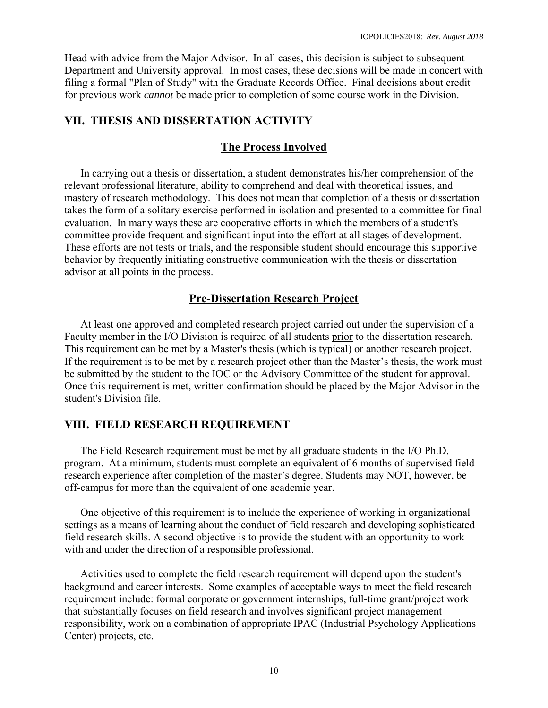Head with advice from the Major Advisor. In all cases, this decision is subject to subsequent Department and University approval. In most cases, these decisions will be made in concert with filing a formal "Plan of Study" with the Graduate Records Office. Final decisions about credit for previous work *cannot* be made prior to completion of some course work in the Division.

# **VII. THESIS AND DISSERTATION ACTIVITY**

### **The Process Involved**

 In carrying out a thesis or dissertation, a student demonstrates his/her comprehension of the relevant professional literature, ability to comprehend and deal with theoretical issues, and mastery of research methodology. This does not mean that completion of a thesis or dissertation takes the form of a solitary exercise performed in isolation and presented to a committee for final evaluation. In many ways these are cooperative efforts in which the members of a student's committee provide frequent and significant input into the effort at all stages of development. These efforts are not tests or trials, and the responsible student should encourage this supportive behavior by frequently initiating constructive communication with the thesis or dissertation advisor at all points in the process.

#### **Pre-Dissertation Research Project**

 At least one approved and completed research project carried out under the supervision of a Faculty member in the I/O Division is required of all students prior to the dissertation research. This requirement can be met by a Master's thesis (which is typical) or another research project. If the requirement is to be met by a research project other than the Master's thesis, the work must be submitted by the student to the IOC or the Advisory Committee of the student for approval. Once this requirement is met, written confirmation should be placed by the Major Advisor in the student's Division file.

### **VIII. FIELD RESEARCH REQUIREMENT**

 The Field Research requirement must be met by all graduate students in the I/O Ph.D. program. At a minimum, students must complete an equivalent of 6 months of supervised field research experience after completion of the master's degree. Students may NOT, however, be off-campus for more than the equivalent of one academic year.

 One objective of this requirement is to include the experience of working in organizational settings as a means of learning about the conduct of field research and developing sophisticated field research skills. A second objective is to provide the student with an opportunity to work with and under the direction of a responsible professional.

 Activities used to complete the field research requirement will depend upon the student's background and career interests. Some examples of acceptable ways to meet the field research requirement include: formal corporate or government internships, full-time grant/project work that substantially focuses on field research and involves significant project management responsibility, work on a combination of appropriate IPAC (Industrial Psychology Applications Center) projects, etc.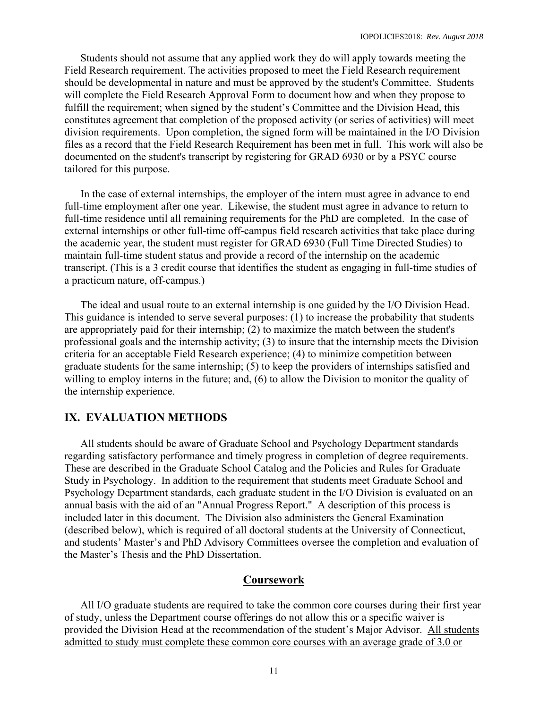Students should not assume that any applied work they do will apply towards meeting the Field Research requirement. The activities proposed to meet the Field Research requirement should be developmental in nature and must be approved by the student's Committee. Students will complete the Field Research Approval Form to document how and when they propose to fulfill the requirement; when signed by the student's Committee and the Division Head, this constitutes agreement that completion of the proposed activity (or series of activities) will meet division requirements. Upon completion, the signed form will be maintained in the I/O Division files as a record that the Field Research Requirement has been met in full. This work will also be documented on the student's transcript by registering for GRAD 6930 or by a PSYC course tailored for this purpose.

 In the case of external internships, the employer of the intern must agree in advance to end full-time employment after one year. Likewise, the student must agree in advance to return to full-time residence until all remaining requirements for the PhD are completed. In the case of external internships or other full-time off-campus field research activities that take place during the academic year, the student must register for GRAD 6930 (Full Time Directed Studies) to maintain full-time student status and provide a record of the internship on the academic transcript. (This is a 3 credit course that identifies the student as engaging in full-time studies of a practicum nature, off-campus.)

 The ideal and usual route to an external internship is one guided by the I/O Division Head. This guidance is intended to serve several purposes: (1) to increase the probability that students are appropriately paid for their internship; (2) to maximize the match between the student's professional goals and the internship activity; (3) to insure that the internship meets the Division criteria for an acceptable Field Research experience; (4) to minimize competition between graduate students for the same internship; (5) to keep the providers of internships satisfied and willing to employ interns in the future; and, (6) to allow the Division to monitor the quality of the internship experience.

#### **IX. EVALUATION METHODS**

All students should be aware of Graduate School and Psychology Department standards regarding satisfactory performance and timely progress in completion of degree requirements. These are described in the Graduate School Catalog and the Policies and Rules for Graduate Study in Psychology. In addition to the requirement that students meet Graduate School and Psychology Department standards, each graduate student in the I/O Division is evaluated on an annual basis with the aid of an "Annual Progress Report." A description of this process is included later in this document. The Division also administers the General Examination (described below), which is required of all doctoral students at the University of Connecticut, and students' Master's and PhD Advisory Committees oversee the completion and evaluation of the Master's Thesis and the PhD Dissertation.

#### **Coursework**

 All I/O graduate students are required to take the common core courses during their first year of study, unless the Department course offerings do not allow this or a specific waiver is provided the Division Head at the recommendation of the student's Major Advisor. All students admitted to study must complete these common core courses with an average grade of 3.0 or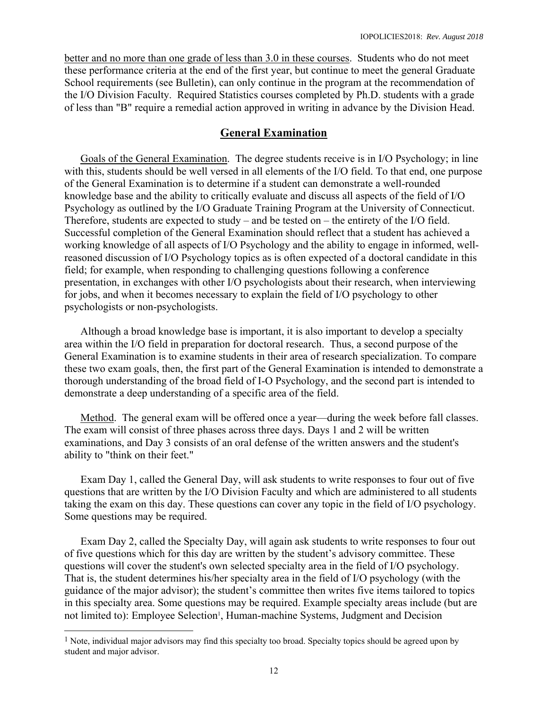better and no more than one grade of less than 3.0 in these courses. Students who do not meet these performance criteria at the end of the first year, but continue to meet the general Graduate School requirements (see Bulletin), can only continue in the program at the recommendation of the I/O Division Faculty. Required Statistics courses completed by Ph.D. students with a grade of less than "B" require a remedial action approved in writing in advance by the Division Head.

## **General Examination**

 Goals of the General Examination. The degree students receive is in I/O Psychology; in line with this, students should be well versed in all elements of the I/O field. To that end, one purpose of the General Examination is to determine if a student can demonstrate a well-rounded knowledge base and the ability to critically evaluate and discuss all aspects of the field of I/O Psychology as outlined by the I/O Graduate Training Program at the University of Connecticut. Therefore, students are expected to study – and be tested on – the entirety of the I/O field. Successful completion of the General Examination should reflect that a student has achieved a working knowledge of all aspects of I/O Psychology and the ability to engage in informed, wellreasoned discussion of I/O Psychology topics as is often expected of a doctoral candidate in this field; for example, when responding to challenging questions following a conference presentation, in exchanges with other I/O psychologists about their research, when interviewing for jobs, and when it becomes necessary to explain the field of I/O psychology to other psychologists or non-psychologists.

 Although a broad knowledge base is important, it is also important to develop a specialty area within the I/O field in preparation for doctoral research. Thus, a second purpose of the General Examination is to examine students in their area of research specialization. To compare these two exam goals, then, the first part of the General Examination is intended to demonstrate a thorough understanding of the broad field of I-O Psychology, and the second part is intended to demonstrate a deep understanding of a specific area of the field.

 Method. The general exam will be offered once a year—during the week before fall classes. The exam will consist of three phases across three days. Days 1 and 2 will be written examinations, and Day 3 consists of an oral defense of the written answers and the student's ability to "think on their feet."

 Exam Day 1, called the General Day, will ask students to write responses to four out of five questions that are written by the I/O Division Faculty and which are administered to all students taking the exam on this day. These questions can cover any topic in the field of I/O psychology. Some questions may be required.

 Exam Day 2, called the Specialty Day, will again ask students to write responses to four out of five questions which for this day are written by the student's advisory committee. These questions will cover the student's own selected specialty area in the field of I/O psychology. That is, the student determines his/her specialty area in the field of I/O psychology (with the guidance of the major advisor); the student's committee then writes five items tailored to topics in this specialty area. Some questions may be required. Example specialty areas include (but are not limited to): Employee Selection<sup>1</sup>, Human-machine Systems, Judgment and Decision

 $\overline{\phantom{a}}$ 

 $<sup>1</sup>$  Note, individual major advisors may find this specialty too broad. Specialty topics should be agreed upon by</sup> student and major advisor.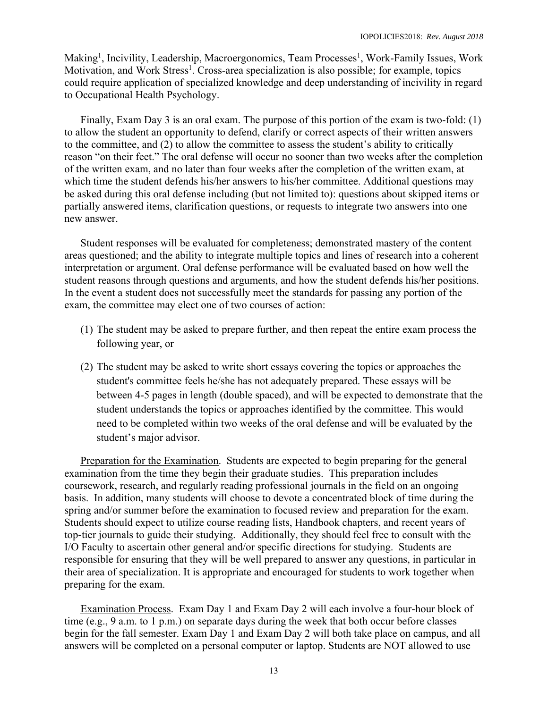Making<sup>1</sup>, Incivility, Leadership, Macroergonomics, Team Processes<sup>1</sup>, Work-Family Issues, Work Motivation, and Work Stress<sup>1</sup>. Cross-area specialization is also possible; for example, topics could require application of specialized knowledge and deep understanding of incivility in regard to Occupational Health Psychology.

 Finally, Exam Day 3 is an oral exam. The purpose of this portion of the exam is two-fold: (1) to allow the student an opportunity to defend, clarify or correct aspects of their written answers to the committee, and (2) to allow the committee to assess the student's ability to critically reason "on their feet." The oral defense will occur no sooner than two weeks after the completion of the written exam, and no later than four weeks after the completion of the written exam, at which time the student defends his/her answers to his/her committee. Additional questions may be asked during this oral defense including (but not limited to): questions about skipped items or partially answered items, clarification questions, or requests to integrate two answers into one new answer.

 Student responses will be evaluated for completeness; demonstrated mastery of the content areas questioned; and the ability to integrate multiple topics and lines of research into a coherent interpretation or argument. Oral defense performance will be evaluated based on how well the student reasons through questions and arguments, and how the student defends his/her positions. In the event a student does not successfully meet the standards for passing any portion of the exam, the committee may elect one of two courses of action:

- (1) The student may be asked to prepare further, and then repeat the entire exam process the following year, or
- (2) The student may be asked to write short essays covering the topics or approaches the student's committee feels he/she has not adequately prepared. These essays will be between 4-5 pages in length (double spaced), and will be expected to demonstrate that the student understands the topics or approaches identified by the committee. This would need to be completed within two weeks of the oral defense and will be evaluated by the student's major advisor.

Preparation for the Examination. Students are expected to begin preparing for the general examination from the time they begin their graduate studies. This preparation includes coursework, research, and regularly reading professional journals in the field on an ongoing basis. In addition, many students will choose to devote a concentrated block of time during the spring and/or summer before the examination to focused review and preparation for the exam. Students should expect to utilize course reading lists, Handbook chapters, and recent years of top-tier journals to guide their studying. Additionally, they should feel free to consult with the I/O Faculty to ascertain other general and/or specific directions for studying. Students are responsible for ensuring that they will be well prepared to answer any questions, in particular in their area of specialization. It is appropriate and encouraged for students to work together when preparing for the exam.

Examination Process. Exam Day 1 and Exam Day 2 will each involve a four-hour block of time  $(e.g., 9 a.m. to 1 p.m.)$  on separate days during the week that both occur before classes begin for the fall semester. Exam Day 1 and Exam Day 2 will both take place on campus, and all answers will be completed on a personal computer or laptop. Students are NOT allowed to use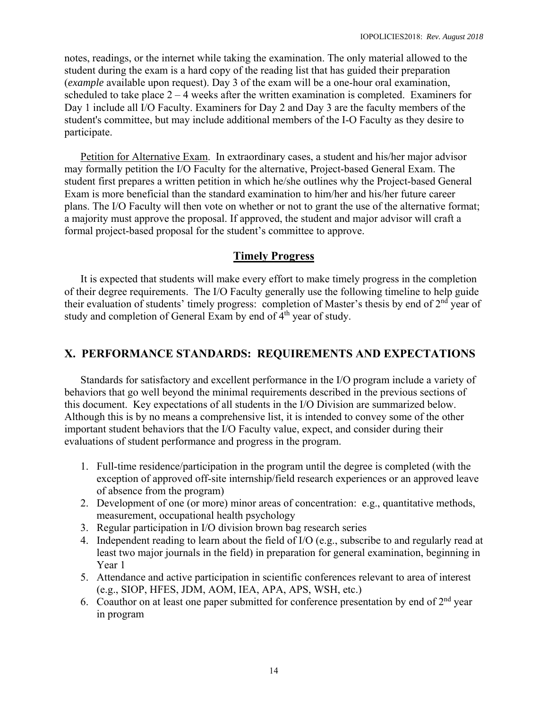notes, readings, or the internet while taking the examination. The only material allowed to the student during the exam is a hard copy of the reading list that has guided their preparation (*example* available upon request). Day 3 of the exam will be a one-hour oral examination, scheduled to take place  $2 - 4$  weeks after the written examination is completed. Examiners for Day 1 include all I/O Faculty. Examiners for Day 2 and Day 3 are the faculty members of the student's committee, but may include additional members of the I-O Faculty as they desire to participate.

Petition for Alternative Exam. In extraordinary cases, a student and his/her major advisor may formally petition the I/O Faculty for the alternative, Project-based General Exam. The student first prepares a written petition in which he/she outlines why the Project-based General Exam is more beneficial than the standard examination to him/her and his/her future career plans. The I/O Faculty will then vote on whether or not to grant the use of the alternative format; a majority must approve the proposal. If approved, the student and major advisor will craft a formal project-based proposal for the student's committee to approve.

# **Timely Progress**

 It is expected that students will make every effort to make timely progress in the completion of their degree requirements. The I/O Faculty generally use the following timeline to help guide their evaluation of students' timely progress: completion of Master's thesis by end of 2nd year of study and completion of General Exam by end of  $4<sup>th</sup>$  year of study.

# **X. PERFORMANCE STANDARDS: REQUIREMENTS AND EXPECTATIONS**

Standards for satisfactory and excellent performance in the I/O program include a variety of behaviors that go well beyond the minimal requirements described in the previous sections of this document. Key expectations of all students in the I/O Division are summarized below. Although this is by no means a comprehensive list, it is intended to convey some of the other important student behaviors that the I/O Faculty value, expect, and consider during their evaluations of student performance and progress in the program.

- 1. Full-time residence/participation in the program until the degree is completed (with the exception of approved off-site internship/field research experiences or an approved leave of absence from the program)
- 2. Development of one (or more) minor areas of concentration: e.g., quantitative methods, measurement, occupational health psychology
- 3. Regular participation in I/O division brown bag research series
- 4. Independent reading to learn about the field of I/O (e.g., subscribe to and regularly read at least two major journals in the field) in preparation for general examination, beginning in Year 1
- 5. Attendance and active participation in scientific conferences relevant to area of interest (e.g., SIOP, HFES, JDM, AOM, IEA, APA, APS, WSH, etc.)
- 6. Coauthor on at least one paper submitted for conference presentation by end of  $2<sup>nd</sup>$  year in program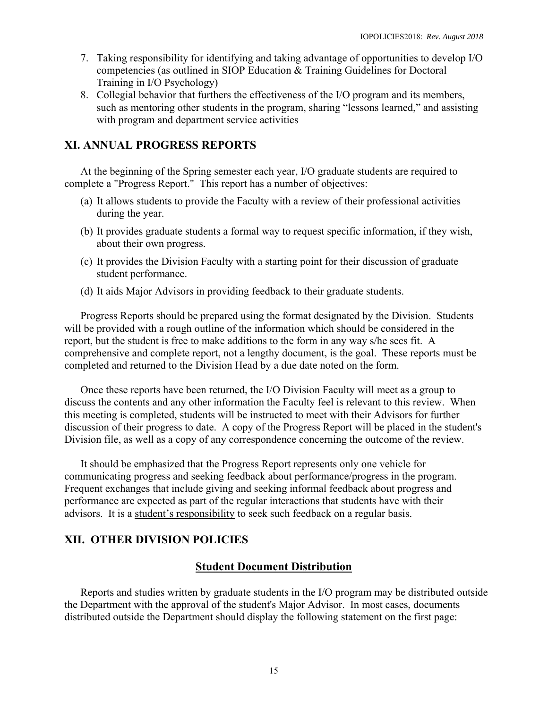- 7. Taking responsibility for identifying and taking advantage of opportunities to develop I/O competencies (as outlined in SIOP Education & Training Guidelines for Doctoral Training in I/O Psychology)
- 8. Collegial behavior that furthers the effectiveness of the I/O program and its members, such as mentoring other students in the program, sharing "lessons learned," and assisting with program and department service activities

# **XI. ANNUAL PROGRESS REPORTS**

At the beginning of the Spring semester each year, I/O graduate students are required to complete a "Progress Report." This report has a number of objectives:

- (a) It allows students to provide the Faculty with a review of their professional activities during the year.
- (b) It provides graduate students a formal way to request specific information, if they wish, about their own progress.
- (c) It provides the Division Faculty with a starting point for their discussion of graduate student performance.
- (d) It aids Major Advisors in providing feedback to their graduate students.

 Progress Reports should be prepared using the format designated by the Division. Students will be provided with a rough outline of the information which should be considered in the report, but the student is free to make additions to the form in any way s/he sees fit. A comprehensive and complete report, not a lengthy document, is the goal. These reports must be completed and returned to the Division Head by a due date noted on the form.

 Once these reports have been returned, the I/O Division Faculty will meet as a group to discuss the contents and any other information the Faculty feel is relevant to this review. When this meeting is completed, students will be instructed to meet with their Advisors for further discussion of their progress to date. A copy of the Progress Report will be placed in the student's Division file, as well as a copy of any correspondence concerning the outcome of the review.

 It should be emphasized that the Progress Report represents only one vehicle for communicating progress and seeking feedback about performance/progress in the program. Frequent exchanges that include giving and seeking informal feedback about progress and performance are expected as part of the regular interactions that students have with their advisors. It is a student's responsibility to seek such feedback on a regular basis.

# **XII. OTHER DIVISION POLICIES**

## **Student Document Distribution**

Reports and studies written by graduate students in the I/O program may be distributed outside the Department with the approval of the student's Major Advisor. In most cases, documents distributed outside the Department should display the following statement on the first page: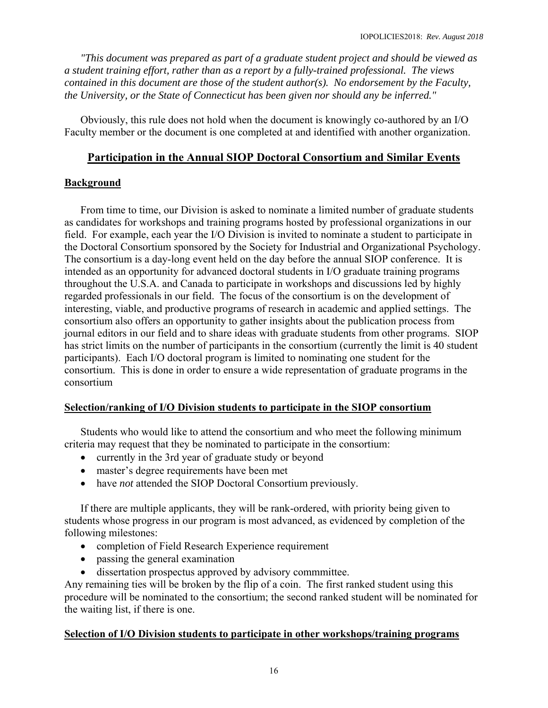*"This document was prepared as part of a graduate student project and should be viewed as a student training effort, rather than as a report by a fully-trained professional. The views contained in this document are those of the student author(s). No endorsement by the Faculty, the University, or the State of Connecticut has been given nor should any be inferred."* 

 Obviously, this rule does not hold when the document is knowingly co-authored by an I/O Faculty member or the document is one completed at and identified with another organization.

# **Participation in the Annual SIOP Doctoral Consortium and Similar Events**

## **Background**

From time to time, our Division is asked to nominate a limited number of graduate students as candidates for workshops and training programs hosted by professional organizations in our field. For example, each year the I/O Division is invited to nominate a student to participate in the Doctoral Consortium sponsored by the Society for Industrial and Organizational Psychology. The consortium is a day-long event held on the day before the annual SIOP conference. It is intended as an opportunity for advanced doctoral students in I/O graduate training programs throughout the U.S.A. and Canada to participate in workshops and discussions led by highly regarded professionals in our field. The focus of the consortium is on the development of interesting, viable, and productive programs of research in academic and applied settings. The consortium also offers an opportunity to gather insights about the publication process from journal editors in our field and to share ideas with graduate students from other programs. SIOP has strict limits on the number of participants in the consortium (currently the limit is 40 student participants). Each I/O doctoral program is limited to nominating one student for the consortium. This is done in order to ensure a wide representation of graduate programs in the consortium

## **Selection/ranking of I/O Division students to participate in the SIOP consortium**

Students who would like to attend the consortium and who meet the following minimum criteria may request that they be nominated to participate in the consortium:

- currently in the 3rd year of graduate study or beyond
- master's degree requirements have been met
- have *not* attended the SIOP Doctoral Consortium previously.

If there are multiple applicants, they will be rank-ordered, with priority being given to students whose progress in our program is most advanced, as evidenced by completion of the following milestones:

- completion of Field Research Experience requirement
- passing the general examination
- dissertation prospectus approved by advisory commmittee.

Any remaining ties will be broken by the flip of a coin. The first ranked student using this procedure will be nominated to the consortium; the second ranked student will be nominated for the waiting list, if there is one.

#### **Selection of I/O Division students to participate in other workshops/training programs**